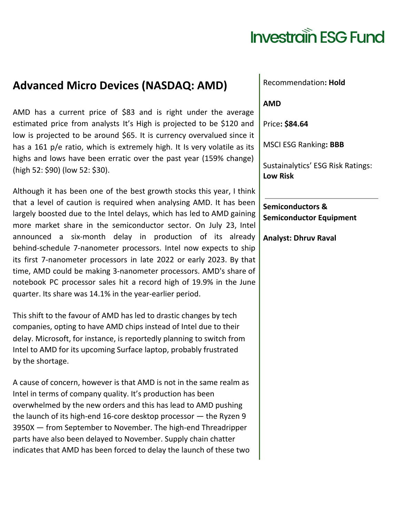## **Investrain ESG Fund**

### **Advanced Micro Devices (NASDAQ: AMD)**

AMD has a current price of \$83 and is right under the average estimated price from analysts It's High is projected to be \$120 and low is projected to be around \$65. It is currency overvalued since it has a 161 p/e ratio, which is extremely high. It Is very volatile as its highs and lows have been erratic over the past year (159% change) (high 52: \$90) (low 52: \$30).

Although it has been one of the best growth stocks this year, I think that a level of caution is required when analysing AMD. It has been largely boosted due to the Intel delays, which has led to AMD gaining more market share in the semiconductor sector. On July 23, Intel announced a six-month delay in production of its already behind-schedule 7-nanometer processors. Intel now expects to ship its first 7-nanometer processors in late 2022 or early 2023. By that time, AMD could be making 3-nanometer processors. AMD's share of notebook PC processor sales hit a record high of 19.9% in the June quarter. Its share was 14.1% in the year-earlier period.

This shift to the favour of AMD has led to drastic changes by tech companies, opting to have AMD chips instead of Intel due to their delay. Microsoft, for instance, is reportedly planning to switch from Intel to AMD for its upcoming Surface laptop, probably frustrated by the shortage.

A cause of concern, however is that AMD is not in the same realm as Intel in terms of company quality. It's production has been overwhelmed by the new orders and this has lead to AMD pushing the launch of its high-end 16-core desktop processor — the Ryzen 9 3950X — from September to November. The high-end Threadripper parts have also been delayed to November. Supply chain chatter indicates that AMD has been forced to delay the launch of these two

#### Recommendation**: Hold**

#### **AMD**

Price**: \$84.64**

MSCI ESG Ranking**: BBB**

Sustainalytics' ESG Risk Ratings: **Low Risk**

**Semiconductors & Semiconductor Equipment**

**Analyst: Dhruv Raval**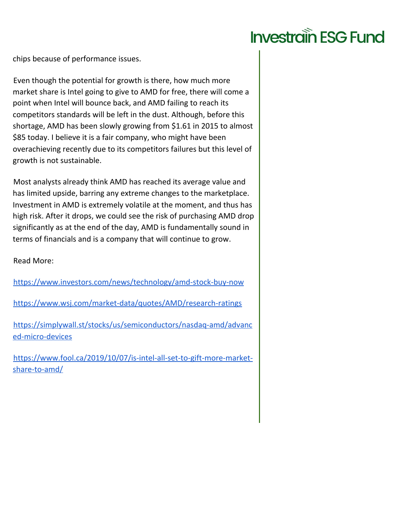### **Investrain ESG Fund**

chips because of performance issues.

Even though the potential for growth is there, how much more market share is Intel going to give to AMD for free, there will come a point when Intel will bounce back, and AMD failing to reach its competitors standards will be left in the dust. Although, before this shortage, AMD has been slowly growing from \$1.61 in 2015 to almost \$85 today. I believe it is a fair company, who might have been overachieving recently due to its competitors failures but this level of growth is not sustainable.

Most analysts already think AMD has reached its average value and has limited upside, barring any extreme changes to the marketplace. Investment in AMD is extremely volatile at the moment, and thus has high risk. After it drops, we could see the risk of purchasing AMD drop significantly as at the end of the day, AMD is fundamentally sound in terms of financials and is a company that will continue to grow.

Read More:

<https://www.investors.com/news/technology/amd-stock-buy-now>

<https://www.wsj.com/market-data/quotes/AMD/research-ratings>

[https://simplywall.st/stocks/us/semiconductors/nasdaq-amd/advanc](https://simplywall.st/stocks/us/semiconductors/nasdaq-amd/advanced-micro-devices) [ed-micro-devices](https://simplywall.st/stocks/us/semiconductors/nasdaq-amd/advanced-micro-devices)

[https://www.fool.ca/2019/10/07/is-intel-all-set-to-gift-more-market](https://www.fool.ca/2019/10/07/is-intel-all-set-to-gift-more-market-share-to-amd/)[share-to-amd/](https://www.fool.ca/2019/10/07/is-intel-all-set-to-gift-more-market-share-to-amd/)